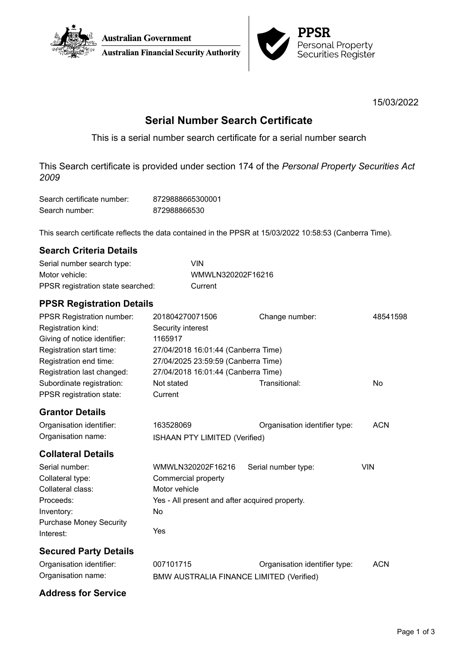



15/03/2022

# **Serial Number Search Certificate**

This is a serial number search certificate for a serial number search

This Search certificate is provided under section 174 of the *Personal Property Securities Act 2009*

| Search certificate number: | 8729888665300001 |
|----------------------------|------------------|
| Search number:             | 872988866530     |

This search certificate reflects the data contained in the PPSR at 15/03/2022 10:58:53 (Canberra Time).

### **Search Criteria Details**

| Serial number search type:        | VIN               |
|-----------------------------------|-------------------|
| Motor vehicle:                    | WMWLN320202F16216 |
| PPSR registration state searched: | Current           |

## **PPSR Registration Details**

| <b>PPSR Registration number:</b> | 201804270071506                                 | Change number:                | 48541598   |
|----------------------------------|-------------------------------------------------|-------------------------------|------------|
| Registration kind:               | Security interest                               |                               |            |
| Giving of notice identifier:     | 1165917                                         |                               |            |
| Registration start time:         | 27/04/2018 16:01:44 (Canberra Time)             |                               |            |
| Registration end time:           | 27/04/2025 23:59:59 (Canberra Time)             |                               |            |
| Registration last changed:       | 27/04/2018 16:01:44 (Canberra Time)             |                               |            |
| Subordinate registration:        | Not stated                                      | Transitional:                 | <b>No</b>  |
| PPSR registration state:         | Current                                         |                               |            |
| <b>Grantor Details</b>           |                                                 |                               |            |
| Organisation identifier:         | 163528069                                       | Organisation identifier type: | <b>ACN</b> |
| Organisation name:               | <b>ISHAAN PTY LIMITED (Verified)</b>            |                               |            |
| <b>Collateral Details</b>        |                                                 |                               |            |
| Serial number:                   | WMWLN320202F16216                               | Serial number type:           | <b>VIN</b> |
| Collateral type:                 | Commercial property                             |                               |            |
| Collateral class:                | Motor vehicle                                   |                               |            |
| Proceeds:                        | Yes - All present and after acquired property.  |                               |            |
| Inventory:                       | No                                              |                               |            |
| <b>Purchase Money Security</b>   |                                                 |                               |            |
| Interest:                        | Yes                                             |                               |            |
| <b>Secured Party Details</b>     |                                                 |                               |            |
| Organisation identifier:         | 007101715                                       | Organisation identifier type: | <b>ACN</b> |
| Organisation name:               | <b>BMW AUSTRALIA FINANCE LIMITED (Verified)</b> |                               |            |

### **Address for Service**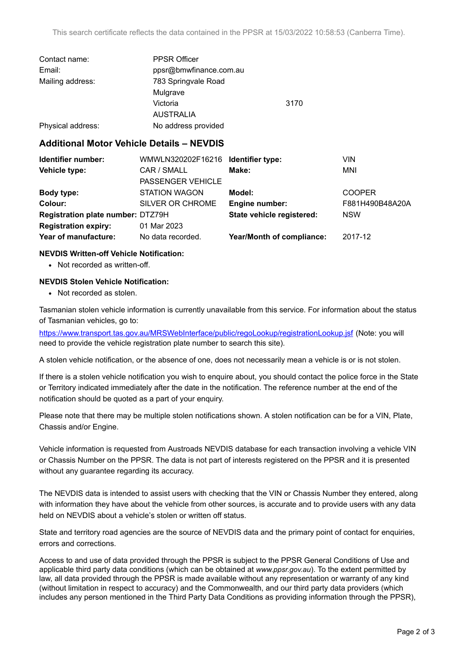| Contact name:     | <b>PPSR Officer</b>    |      |
|-------------------|------------------------|------|
| Email:            | ppsr@bmwfinance.com.au |      |
| Mailing address:  | 783 Springvale Road    |      |
|                   | Mulgrave               |      |
|                   | Victoria               | 3170 |
|                   | <b>AUSTRALIA</b>       |      |
| Physical address: | No address provided    |      |

### **Additional Motor Vehicle Details – NEVDIS**

| Identifier number:                | WMWLN320202F16216 Identifier type: |                           | VIN             |
|-----------------------------------|------------------------------------|---------------------------|-----------------|
| Vehicle type:                     | CAR / SMALL                        | Make:                     | MNI             |
|                                   | PASSENGER VEHICLE                  |                           |                 |
| Body type:                        | <b>STATION WAGON</b>               | Model:                    | <b>COOPER</b>   |
| Colour:                           | SILVER OR CHROME                   | Engine number:            | F881H490B48A20A |
| Registration plate number: DTZ79H |                                    | State vehicle registered: | <b>NSW</b>      |
| <b>Registration expiry:</b>       | 01 Mar 2023                        |                           |                 |
| Year of manufacture:              | No data recorded.                  | Year/Month of compliance: | 2017-12         |

#### **NEVDIS Written-off Vehicle Notification:**

• Not recorded as written-off.

#### **NEVDIS Stolen Vehicle Notification:**

• Not recorded as stolen.

Tasmanian stolen vehicle information is currently unavailable from this service. For information about the status of Tasmanian vehicles, go to:

<https://www.transport.tas.gov.au/MRSWebInterface/public/regoLookup/registrationLookup.jsf> (Note: you will need to provide the vehicle registration plate number to search this site).

A stolen vehicle notification, or the absence of one, does not necessarily mean a vehicle is or is not stolen.

If there is a stolen vehicle notification you wish to enquire about, you should contact the police force in the State or Territory indicated immediately after the date in the notification. The reference number at the end of the notification should be quoted as a part of your enquiry.

Please note that there may be multiple stolen notifications shown. A stolen notification can be for a VIN, Plate, Chassis and/or Engine.

Vehicle information is requested from Austroads NEVDIS database for each transaction involving a vehicle VIN or Chassis Number on the PPSR. The data is not part of interests registered on the PPSR and it is presented without any guarantee regarding its accuracy.

The NEVDIS data is intended to assist users with checking that the VIN or Chassis Number they entered, along with information they have about the vehicle from other sources, is accurate and to provide users with any data held on NEVDIS about a vehicle's stolen or written off status.

State and territory road agencies are the source of NEVDIS data and the primary point of contact for enquiries, errors and corrections.

Access to and use of data provided through the PPSR is subject to the PPSR General Conditions of Use and applicable third party data conditions (which can be obtained at *[www.ppsr.gov.au](http://www.ppsr.gov.au)*). To the extent permitted by law, all data provided through the PPSR is made available without any representation or warranty of any kind (without limitation in respect to accuracy) and the Commonwealth, and our third party data providers (which includes any person mentioned in the Third Party Data Conditions as providing information through the PPSR),